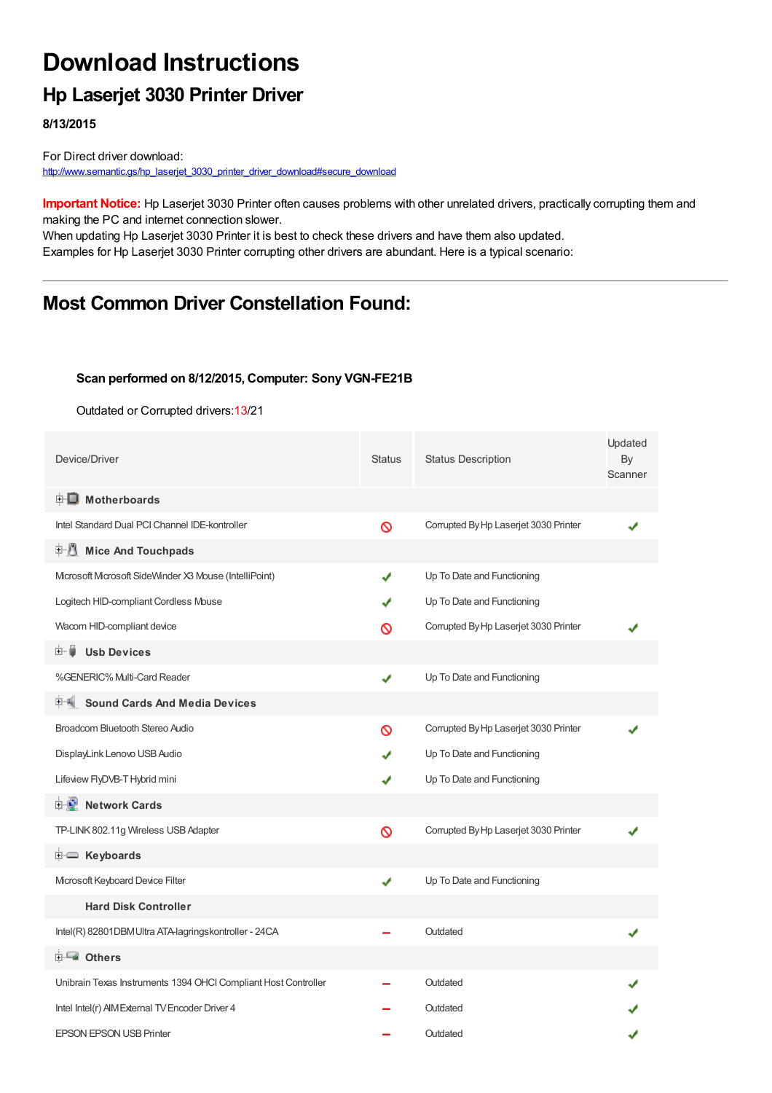# **Download Instructions**

## **Hp Laserjet 3030 Printer Driver**

**8/13/2015**

For Direct driver download: [http://www.semantic.gs/hp\\_laserjet\\_3030\\_printer\\_driver\\_download#secure\\_download](http://www.semantic.gs/hp_laserjet_3030_printer_driver_download#secure_download)

**Important Notice:** Hp Laserjet 3030 Printer often causes problems with other unrelated drivers, practically corrupting them and making the PC and internet connection slower.

When updating Hp Laserjet 3030 Printer it is best to check these drivers and have them also updated. Examples for Hp Laserjet 3030 Printer corrupting other drivers are abundant. Here is a typical scenario:

### **Most Common Driver Constellation Found:**

#### **Scan performed on 8/12/2015, Computer: Sony VGN-FE21B**

Outdated or Corrupted drivers:13/21

| Device/Driver                                                  | <b>Status</b> | <b>Status Description</b>             | Updated<br>By<br>Scanner |
|----------------------------------------------------------------|---------------|---------------------------------------|--------------------------|
| <b>E</b> Motherboards                                          |               |                                       |                          |
| Intel Standard Dual PCI Channel IDE-kontroller                 | Ø             | Corrupted By Hp Laserjet 3030 Printer |                          |
| F U<br><b>Mice And Touchpads</b>                               |               |                                       |                          |
| Microsoft Microsoft SideWinder X3 Mouse (IntelliPoint)         | ✔             | Up To Date and Functioning            |                          |
| Logitech HID-compliant Cordless Mouse                          | J             | Up To Date and Functioning            |                          |
| Wacom HID-compliant device                                     | ര             | Corrupted By Hp Laserjet 3030 Printer |                          |
| <b>Usb Devices</b><br>田… ■                                     |               |                                       |                          |
| %GENERIC% Multi-Card Reader                                    | ✔             | Up To Date and Functioning            |                          |
| <b>Sound Cards And Media Devices</b>                           |               |                                       |                          |
| Broadcom Bluetooth Stereo Audio                                | ଷ             | Corrupted By Hp Laserjet 3030 Printer |                          |
| DisplayLink Lenovo USB Audio                                   |               | Up To Date and Functioning            |                          |
| Lifeview FlyDVB-T Hybrid mini                                  | ✔             | Up To Date and Functioning            |                          |
| <b>E-D</b> Network Cards                                       |               |                                       |                          |
| TP-LINK 802.11g Wireless USB Adapter                           | Ø             | Corrupted By Hp Laserjet 3030 Printer |                          |
| E Keyboards                                                    |               |                                       |                          |
| Microsoft Keyboard Device Filter                               | ✔             | Up To Date and Functioning            |                          |
| <b>Hard Disk Controller</b>                                    |               |                                       |                          |
| Intel(R) 82801DBM Ultra ATA-lagringskontroller - 24CA          |               | Outdated                              |                          |
| <b>E</b> Others                                                |               |                                       |                          |
| Unibrain Texas Instruments 1394 OHCI Compliant Host Controller |               | Outdated                              |                          |
| Intel Intel(r) AIM External TV Encoder Driver 4                |               | Outdated                              |                          |
| <b>EPSON EPSON USB Printer</b>                                 |               | Outdated                              |                          |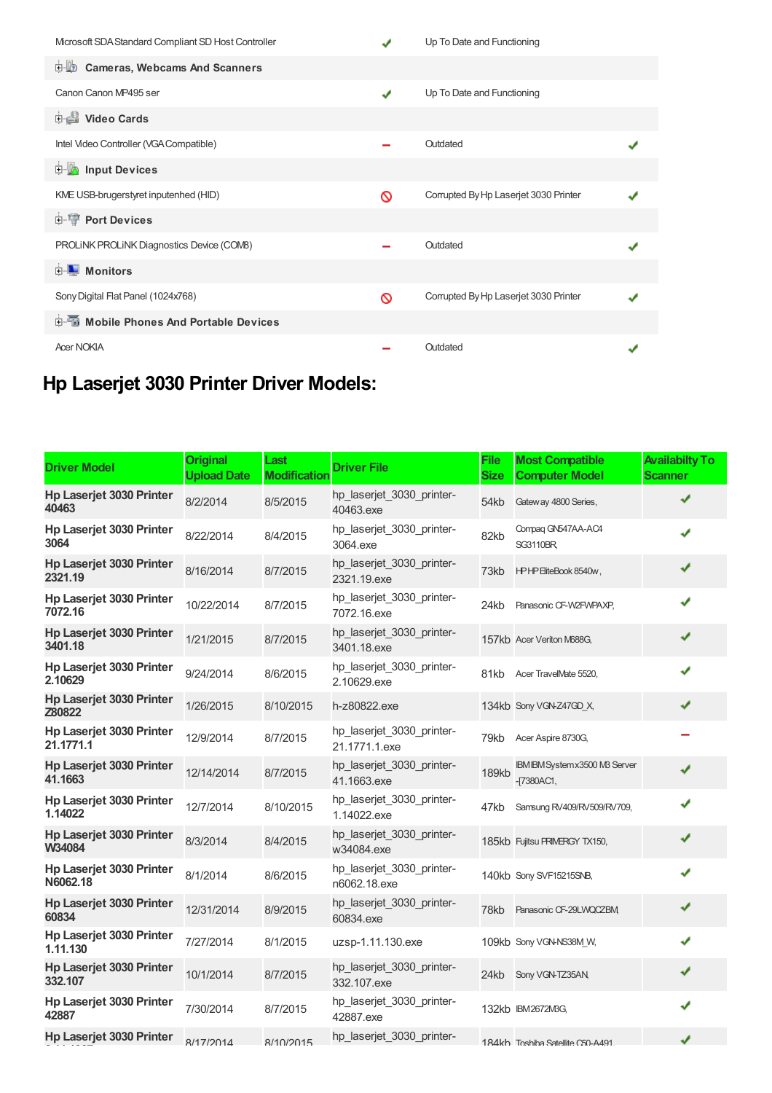| Microsoft SDA Standard Compliant SD Host Controller |   | Up To Date and Functioning            |  |
|-----------------------------------------------------|---|---------------------------------------|--|
| <b>D</b> Cameras, Webcams And Scanners              |   |                                       |  |
| Canon Canon MP495 ser                               | ✔ | Up To Date and Functioning            |  |
| <b>Dideo Cards</b>                                  |   |                                       |  |
| Intel Video Controller (VGA Compatible)             |   | Outdated                              |  |
| input Devices                                       |   |                                       |  |
| KME USB-brugerstyret inputenhed (HID)               | ଷ | Corrupted By Hp Laserjet 3030 Printer |  |
| <b>E-TP</b> Port Devices                            |   |                                       |  |
| PROLINK PROLINK Diagnostics Device (COMB)           |   | Outdated                              |  |
| <b>E</b> Monitors                                   |   |                                       |  |
| Sony Digital Flat Panel (1024x768)                  | ᠗ | Corrupted By Hp Laserjet 3030 Printer |  |
| 电图 Mobile Phones And Portable Devices               |   |                                       |  |
| <b>Acer NOKIA</b>                                   |   | Outdated                              |  |

## **Hp Laserjet 3030 Printer Driver Models:**

| <b>Driver Model</b>                        | <b>Original</b><br><b>Upload Date</b> | Last<br><b>Modification</b> | <b>Driver File</b>                         | <b>File</b><br><b>Size</b> | <b>Most Compatible</b><br><b>Computer Model</b>        | <b>Availabilty To</b><br><b>Scanner</b> |
|--------------------------------------------|---------------------------------------|-----------------------------|--------------------------------------------|----------------------------|--------------------------------------------------------|-----------------------------------------|
| Hp Laserjet 3030 Printer<br>40463          | 8/2/2014                              | 8/5/2015                    | hp_laserjet_3030_printer-<br>40463.exe     | 54kb                       | Gateway 4800 Series,                                   |                                         |
| Hp Laserjet 3030 Printer<br>3064           | 8/22/2014                             | 8/4/2015                    | hp_laserjet_3030_printer-<br>3064.exe      | 82kb                       | Compaq GN547AA-AC4<br><b>SG3110BR</b>                  | J                                       |
| <b>Hp Laseriet 3030 Printer</b><br>2321.19 | 8/16/2014                             | 8/7/2015                    | hp laserjet 3030 printer-<br>2321.19.exe   | 73kb                       | HPHP EiteBook 8540w,                                   | ✔                                       |
| Hp Laserjet 3030 Printer<br>7072.16        | 10/22/2014                            | 8/7/2015                    | hp_laserjet_3030_printer-<br>7072.16.exe   | 24kb                       | Panasonic CF-W2FWPAXP,                                 | ✔                                       |
| Hp Laserjet 3030 Printer<br>3401.18        | 1/21/2015                             | 8/7/2015                    | hp_laserjet_3030_printer-<br>3401.18.exe   |                            | 157kb Acer Veriton M688G,                              | ✔                                       |
| Hp Laserjet 3030 Printer<br>2.10629        | 9/24/2014                             | 8/6/2015                    | hp_laserjet_3030_printer-<br>2.10629.exe   | 81kb                       | Acer TravelMate 5520,                                  | ✔                                       |
| <b>Hp Laserjet 3030 Printer</b><br>Z80822  | 1/26/2015                             | 8/10/2015                   | h-z80822.exe                               |                            | 134kb Sony VGN-Z47GD_X,                                | ✔                                       |
| Hp Laserjet 3030 Printer<br>21.1771.1      | 12/9/2014                             | 8/7/2015                    | hp_laserjet_3030_printer-<br>21.1771.1.exe | 79kb                       | Acer Aspire 8730G,                                     |                                         |
| <b>Hp Laserjet 3030 Printer</b><br>41.1663 | 12/14/2014                            | 8/7/2015                    | hp laserjet 3030 printer-<br>41.1663.exe   | 189kb                      | <b>IBM IBM System x3500 MB Server</b><br>$-17380AC1$ , | ✔                                       |
| Hp Laserjet 3030 Printer<br>1.14022        | 12/7/2014                             | 8/10/2015                   | hp_laserjet_3030_printer-<br>1.14022.exe   | 47kb                       | Samsung RV409/RV509/RV709,                             |                                         |
| Hp Laserjet 3030 Printer<br>W34084         | 8/3/2014                              | 8/4/2015                    | hp_laserjet_3030_printer-<br>w34084.exe    |                            | 185kb Fujitsu PRIMERGY TX150,                          | ✔                                       |
| Hp Laserjet 3030 Printer<br>N6062.18       | 8/1/2014                              | 8/6/2015                    | hp_laserjet_3030_printer-<br>n6062.18.exe  |                            | 140kb Sony SVF15215SNB,                                | ✔                                       |
| <b>Hp Laserjet 3030 Printer</b><br>60834   | 12/31/2014                            | 8/9/2015                    | hp laserjet 3030 printer-<br>60834.exe     | 78kb                       | Panasonic CF-29LWQCZBM,                                | ✔                                       |
| Hp Laserjet 3030 Printer<br>1.11.130       | 7/27/2014                             | 8/1/2015                    | uzsp-1.11.130.exe                          |                            | 109kb Sony VGN-NS38M_W,                                |                                         |
| Hp Laserjet 3030 Printer<br>332.107        | 10/1/2014                             | 8/7/2015                    | hp laserjet 3030 printer-<br>332.107.exe   |                            | 24kb Sony VGN-TZ35AN,                                  | ✔                                       |
| Hp Laserjet 3030 Printer<br>42887          | 7/30/2014                             | 8/7/2015                    | hp_laserjet_3030_printer-<br>42887.exe     |                            | 132kb IBM2672MBG,                                      |                                         |
| Hp Laserjet 3030 Printer                   | 8/17/2014                             | 8/10/2015                   | hp_laserjet_3030_printer-                  |                            | 184kh Toshiba Satellite C50-A491                       | ✔                                       |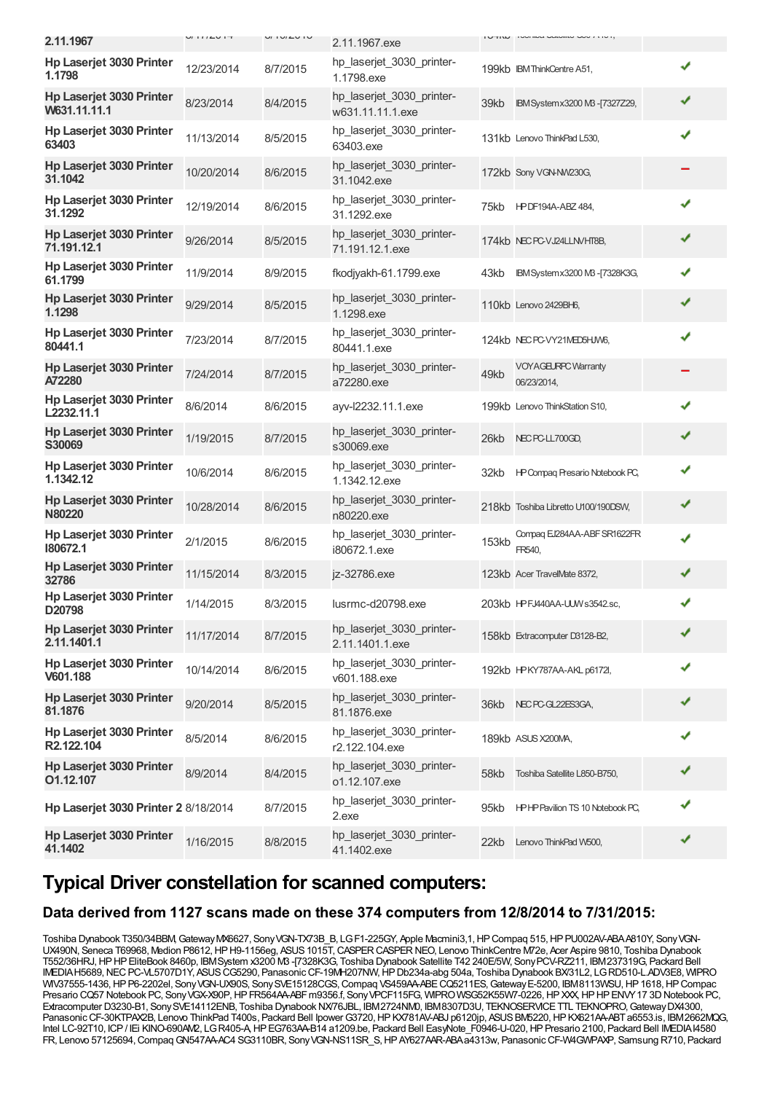| 2.11.1967                                       | U111LU1T   | $U_1 U_2 U_3 U_4$ | 2.11.1967.exe                                 |       | I UTINU I I VUI IIWU VULUIILU VUU I ITU I, |   |
|-------------------------------------------------|------------|-------------------|-----------------------------------------------|-------|--------------------------------------------|---|
| Hp Laserjet 3030 Printer<br>1.1798              | 12/23/2014 | 8/7/2015          | hp_laserjet_3030_printer-<br>1.1798.exe       |       | 199kb IBM ThinkCentre A51,                 | ✔ |
| <b>Hp Laserjet 3030 Printer</b><br>W631.11.11.1 | 8/23/2014  | 8/4/2015          | hp laserjet 3030 printer-<br>w631.11.11.1.exe | 39kb  | IBM System x 3200 MB - [7327Z29,           | ✔ |
| Hp Laserjet 3030 Printer<br>63403               | 11/13/2014 | 8/5/2015          | hp laserjet 3030 printer-<br>63403.exe        |       | 131kb Lenovo ThinkPad L530,                | ✔ |
| <b>Hp Laserjet 3030 Printer</b><br>31.1042      | 10/20/2014 | 8/6/2015          | hp laserjet 3030 printer-<br>31.1042.exe      |       | 172kb Sony VGN-NW230G,                     |   |
| Hp Laserjet 3030 Printer<br>31.1292             | 12/19/2014 | 8/6/2015          | hp_laserjet_3030_printer-<br>31.1292.exe      | 75kb  | <b>HPDF194A-ABZ 484,</b>                   | ✔ |
| Hp Laserjet 3030 Printer<br>71.191.12.1         | 9/26/2014  | 8/5/2015          | hp_laserjet_3030_printer-<br>71.191.12.1.exe  |       | 174kb NEC PC-VJ24LLNVHT8B,                 | ✔ |
| Hp Laserjet 3030 Printer<br>61.1799             | 11/9/2014  | 8/9/2015          | fkodjyakh-61.1799.exe                         | 43kb  | IBM System x3200 MB -[7328K3G,             | ✔ |
| Hp Laserjet 3030 Printer<br>1.1298              | 9/29/2014  | 8/5/2015          | hp_laserjet_3030_printer-<br>1.1298.exe       |       | 110kb Lenovo 2429BH6,                      | ✔ |
| Hp Laserjet 3030 Printer<br>80441.1             | 7/23/2014  | 8/7/2015          | hp_laserjet_3030_printer-<br>80441.1.exe      |       | 124kb NECPC-VY21MED5HJW6,                  | ✔ |
| Hp Laserjet 3030 Printer<br>A72280              | 7/24/2014  | 8/7/2015          | hp_laserjet_3030_printer-<br>a72280.exe       | 49kb  | <b>VOYAGEURPC Warranty</b><br>06/23/2014,  |   |
| <b>Hp Laserjet 3030 Printer</b><br>L2232.11.1   | 8/6/2014   | 8/6/2015          | ayv-I2232.11.1.exe                            |       | 199kb Lenovo ThinkStation S10,             | ✔ |
| Hp Laserjet 3030 Printer<br>S30069              | 1/19/2015  | 8/7/2015          | hp_laserjet_3030_printer-<br>s30069.exe       | 26kb  | NEC PC-LL700GD,                            | ✔ |
| <b>Hp Laserjet 3030 Printer</b><br>1.1342.12    | 10/6/2014  | 8/6/2015          | hp_laserjet_3030_printer-<br>1.1342.12.exe    | 32kb  | HP Compaq Presario Notebook PC,            | ✔ |
| Hp Laserjet 3030 Printer<br><b>N80220</b>       | 10/28/2014 | 8/6/2015          | hp_laserjet_3030_printer-<br>n80220.exe       |       | 218kb Toshiba Libretto U100/190DSW,        | ✔ |
| Hp Laserjet 3030 Printer<br>180672.1            | 2/1/2015   | 8/6/2015          | hp_laserjet_3030_printer-<br>i80672.1.exe     | 153kb | Compag EJ284AA-ABF SR1622FR<br>FR540,      | ✔ |
| <b>Hp Laserjet 3030 Printer</b><br>32786        | 11/15/2014 | 8/3/2015          | jz-32786.exe                                  |       | 123kb Acer TravelMate 8372,                | ✔ |
| Hp Laserjet 3030 Printer<br>D20798              | 1/14/2015  | 8/3/2015          | lusrmc-d20798.exe                             |       | 203kb HPFJ440AA-UJW s3542.sc,              | ✔ |
| <b>Hp Laserjet 3030 Printer</b><br>2.11.1401.1  | 11/17/2014 | 8/7/2015          | hp_laserjet_3030_printer-<br>2.11.1401.1.exe  |       | 158kb Extracomputer D3128-B2,              | ✔ |
| Hp Laserjet 3030 Printer<br>V601.188            | 10/14/2014 | 8/6/2015          | hp_laserjet_3030_printer-<br>v601.188.exe     |       | 192kb HPKY787AA-AKL p6172l,                | ✔ |
| Hp Laserjet 3030 Printer<br>81.1876             | 9/20/2014  | 8/5/2015          | hp_laserjet_3030_printer-<br>81.1876.exe      |       | 36kb NEC PC-GL22ES3GA,                     | ✔ |
| Hp Laserjet 3030 Printer<br>R2.122.104          | 8/5/2014   | 8/6/2015          | hp_laserjet_3030_printer-<br>r2.122.104.exe   |       | 189kb ASUS X200MA,                         |   |
| Hp Laserjet 3030 Printer<br>O1.12.107           | 8/9/2014   | 8/4/2015          | hp_laserjet_3030_printer-<br>o1.12.107.exe    | 58kb  | Toshiba Satellite L850-B750,               | ✔ |
| Hp Laserjet 3030 Printer 2 8/18/2014            |            | 8/7/2015          | hp_laserjet_3030_printer-<br>2.exe            | 95kb  | <b>HPHPPavilion TS 10 Notebook PC,</b>     | ✔ |
| Hp Laserjet 3030 Printer<br>41.1402             | 1/16/2015  | 8/8/2015          | hp_laserjet_3030_printer-<br>41.1402.exe      | 22kb  | Lenovo ThinkPad W500,                      | ✔ |
|                                                 |            |                   |                                               |       |                                            |   |

### **Typical Driver constellation for scanned computers:**

### **Data derived from 1127 scans made on these 374 computers from 12/8/2014 to 7/31/2015:**

Toshiba Dynabook T350/34BBM,GatewayMX6627, SonyVGN-TX73B\_B, LGF1-225GY, Apple Macmini3,1,HPCompaq 515,HPPU002AV-ABAA810Y, SonyVGN-UX490N, Seneca T69968, Medion P8612, HP H9-1156eg, ASUS 1015T, CASPER CASPER NEO, Lenovo ThinkCentre M72e, Acer Aspire 9810, Toshiba Dynabook T552/36HRJ,HPHPEliteBook 8460p, IBMSystem x3200 M3 -[7328K3G, Toshiba Dynabook Satellite T42 240E/5W, SonyPCV-RZ211, IBM237319G, Packard Bell IMEDIA H5689, NEC PC-VL5707D1Y, ASUS CG5290, Panasonic CF-19MH207NW, HP Db234a-abg 504a, Toshiba Dynabook BX/31L2, LG RD510-L.ADV3E8, WIPRO WIV37555-1436, HP P6-2202el, Sony VGN-UX90S, Sony SVE15128CGS, Compaq VS459AA-ABE CQ5211ES, Gateway E-5200, IBM8113WSU, HP 1618, HP Compac Presario CQ57 Notebook PC, Sony VGX-X90P, HP FR564AA-ABF m9356.f, Sony VPCF115FG, WIPRO WSG52K55W7-0226, HP XXX, HP HP ENVY 17 3D Notebook PC, Extracomputer D3230-B1, Sony SVE14112ENB, Toshiba Dynabook NX76JBL, IBM2724NM0, IBM8307D3U, TEKNOSERVICE TTL TEKNOPRO, Gateway DX4300, Panasonic CF-30KTPAX2B, Lenovo ThinkPad T400s, Packard Bell Ipower G3720, HP KX781AV-ABJ p6120jp, ASUS BM5220, HP KX621AA-ABT a6553.is, IBM2662MQG, Intel LC-92T10, ICP/ IEi KINO-690AM2, LGR405-A,HPEG763AA-B14 a1209.be, Packard Bell EasyNote\_F0946-U-020,HPPresario 2100, Packard Bell IMEDIAI4580 FR, Lenovo 57125694, Compaq GN547AA-AC4 SG3110BR, Sony VGN-NS11SR\_S, HP AY627AAR-ABA a4313w, Panasonic CF-W4GWPAXP, Samsung R710, Packard